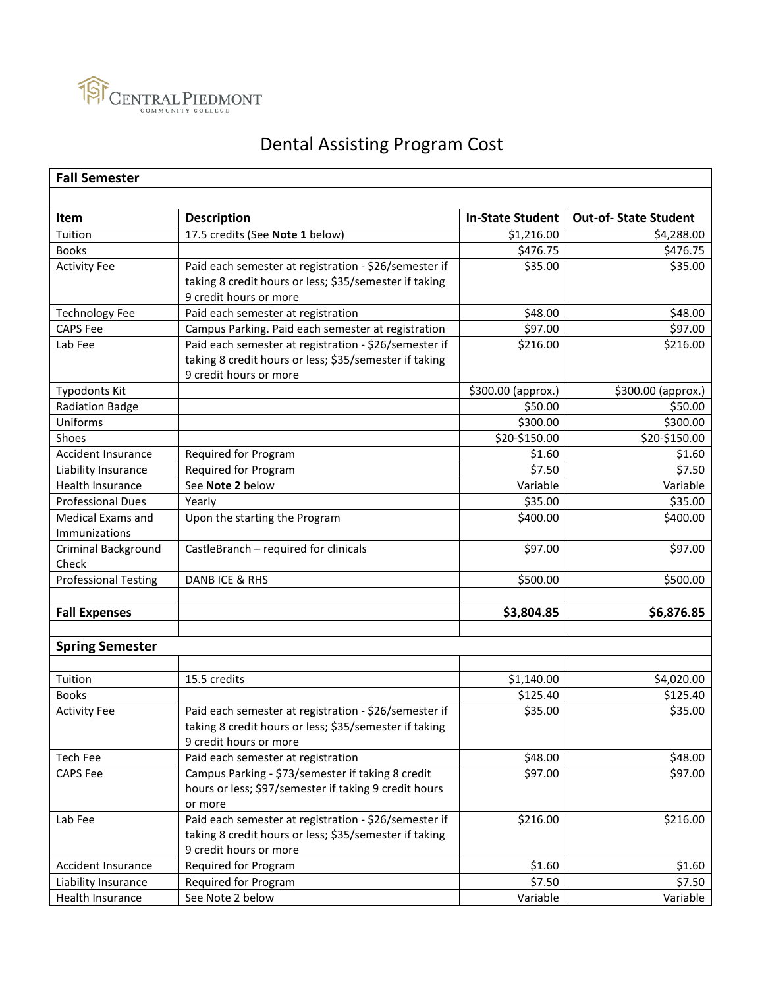

## Dental Assisting Program Cost

| <b>Fall Semester</b>        |                                                        |                         |                             |  |
|-----------------------------|--------------------------------------------------------|-------------------------|-----------------------------|--|
|                             |                                                        |                         |                             |  |
| Item                        | <b>Description</b>                                     | <b>In-State Student</b> | <b>Out-of-State Student</b> |  |
| Tuition                     | 17.5 credits (See Note 1 below)                        | \$1,216.00              | \$4,288.00                  |  |
| <b>Books</b>                |                                                        | \$476.75                | \$476.75                    |  |
| <b>Activity Fee</b>         | Paid each semester at registration - \$26/semester if  | \$35.00                 | \$35.00                     |  |
|                             | taking 8 credit hours or less; \$35/semester if taking |                         |                             |  |
|                             | 9 credit hours or more                                 |                         |                             |  |
| <b>Technology Fee</b>       | Paid each semester at registration                     | \$48.00                 | \$48.00                     |  |
| <b>CAPS Fee</b>             | Campus Parking. Paid each semester at registration     | \$97.00                 | \$97.00                     |  |
| Lab Fee                     | Paid each semester at registration - \$26/semester if  | \$216.00                | \$216.00                    |  |
|                             | taking 8 credit hours or less; \$35/semester if taking |                         |                             |  |
|                             | 9 credit hours or more                                 |                         |                             |  |
| <b>Typodonts Kit</b>        |                                                        | \$300.00 (approx.)      | \$300.00 (approx.)          |  |
| <b>Radiation Badge</b>      |                                                        | \$50.00                 | \$50.00                     |  |
| Uniforms                    |                                                        | \$300.00                | \$300.00                    |  |
| Shoes                       |                                                        | \$20-\$150.00           | \$20-\$150.00               |  |
| <b>Accident Insurance</b>   | Required for Program                                   | \$1.60                  | \$1.60                      |  |
| Liability Insurance         | Required for Program                                   | \$7.50                  | \$7.50                      |  |
| <b>Health Insurance</b>     | See Note 2 below                                       | Variable                | Variable                    |  |
| <b>Professional Dues</b>    | Yearly                                                 | \$35.00                 | \$35.00                     |  |
| <b>Medical Exams and</b>    | Upon the starting the Program                          | \$400.00                | \$400.00                    |  |
| Immunizations               |                                                        |                         |                             |  |
| <b>Criminal Background</b>  | CastleBranch - required for clinicals                  | \$97.00                 | \$97.00                     |  |
| Check                       |                                                        |                         |                             |  |
| <b>Professional Testing</b> | DANB ICE & RHS                                         | \$500.00                | \$500.00                    |  |
|                             |                                                        |                         |                             |  |
| <b>Fall Expenses</b>        |                                                        | \$3,804.85              | \$6,876.85                  |  |
|                             |                                                        |                         |                             |  |
| <b>Spring Semester</b>      |                                                        |                         |                             |  |
|                             |                                                        |                         |                             |  |
| Tuition                     | 15.5 credits                                           | \$1,140.00              | \$4,020.00                  |  |
| <b>Books</b>                |                                                        | \$125.40                | \$125.40                    |  |
| <b>Activity Fee</b>         | Paid each semester at registration - \$26/semester if  | \$35.00                 | \$35.00                     |  |
|                             | taking 8 credit hours or less; \$35/semester if taking |                         |                             |  |
|                             | 9 credit hours or more                                 |                         |                             |  |
| Tech Fee                    | Paid each semester at registration                     | \$48.00                 | \$48.00                     |  |
| <b>CAPS Fee</b>             | Campus Parking - \$73/semester if taking 8 credit      | \$97.00                 | \$97.00                     |  |
|                             | hours or less; \$97/semester if taking 9 credit hours  |                         |                             |  |
|                             | or more                                                |                         |                             |  |
| Lab Fee                     | Paid each semester at registration - \$26/semester if  | \$216.00                | \$216.00                    |  |
|                             | taking 8 credit hours or less; \$35/semester if taking |                         |                             |  |
|                             | 9 credit hours or more                                 |                         |                             |  |
| Accident Insurance          | Required for Program                                   | \$1.60                  | \$1.60                      |  |
| Liability Insurance         | Required for Program                                   | \$7.50                  | \$7.50                      |  |
| Health Insurance            | See Note 2 below                                       | Variable                | Variable                    |  |